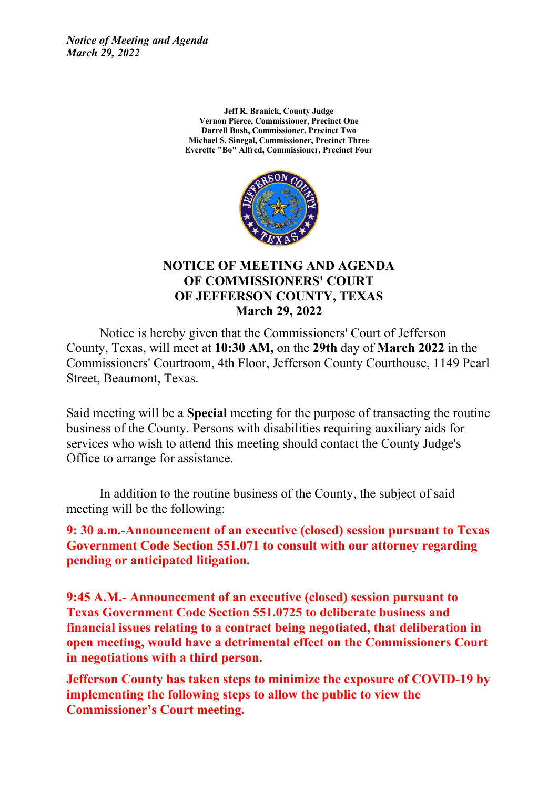*Notice of Meeting and Agenda March 29, 2022*

> **Jeff R. Branick, County Judge Vernon Pierce, Commissioner, Precinct One Darrell Bush, Commissioner, Precinct Two Michael S. Sinegal, Commissioner, Precinct Three Everette "Bo" Alfred, Commissioner, Precinct Four**



#### **NOTICE OF MEETING AND AGENDA OF COMMISSIONERS' COURT OF JEFFERSON COUNTY, TEXAS March 29, 2022**

Notice is hereby given that the Commissioners' Court of Jefferson County, Texas, will meet at **10:30 AM,** on the **29th** day of **March 2022** in the Commissioners' Courtroom, 4th Floor, Jefferson County Courthouse, 1149 Pearl Street, Beaumont, Texas.

Said meeting will be a **Special** meeting for the purpose of transacting the routine business of the County. Persons with disabilities requiring auxiliary aids for services who wish to attend this meeting should contact the County Judge's Office to arrange for assistance.

In addition to the routine business of the County, the subject of said meeting will be the following:

**9: 30 a.m.-Announcement of an executive (closed) session pursuant to Texas Government Code Section 551.071 to consult with our attorney regarding pending or anticipated litigation.**

**9:45 A.M.- Announcement of an executive (closed) session pursuant to Texas Government Code Section 551.0725 to deliberate business and financial issues relating to a contract being negotiated, that deliberation in open meeting, would have a detrimental effect on the Commissioners Court in negotiations with a third person.**

**Jefferson County has taken steps to minimize the exposure of COVID-19 by implementing the following steps to allow the public to view the Commissioner's Court meeting.**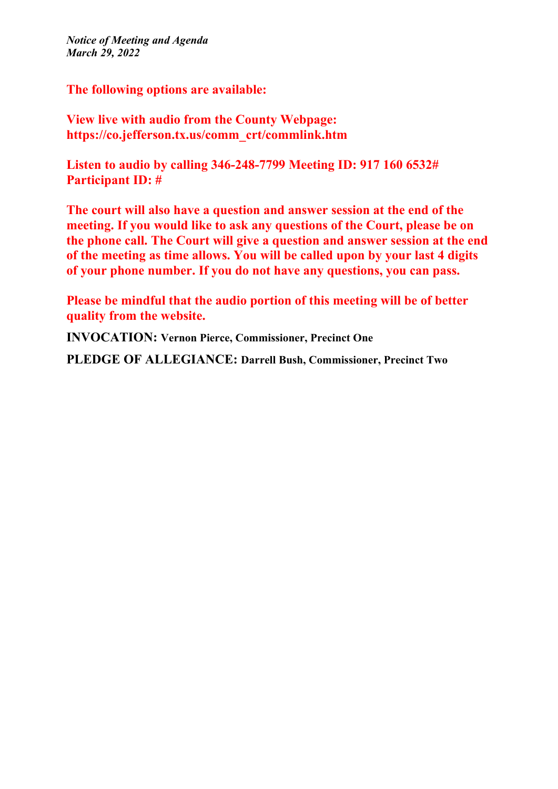*Notice of Meeting and Agenda March 29, 2022*

**The following options are available:**

**View live with audio from the County Webpage: https://co.jefferson.tx.us/comm\_crt/commlink.htm**

**Listen to audio by calling 346-248-7799 Meeting ID: 917 160 6532# Participant ID: #**

**The court will also have a question and answer session at the end of the meeting. If you would like to ask any questions of the Court, please be on the phone call. The Court will give a question and answer session at the end of the meeting as time allows. You will be called upon by your last 4 digits of your phone number. If you do not have any questions, you can pass.**

**Please be mindful that the audio portion of this meeting will be of better quality from the website.**

**INVOCATION: Vernon Pierce, Commissioner, Precinct One**

**PLEDGE OF ALLEGIANCE: Darrell Bush, Commissioner, Precinct Two**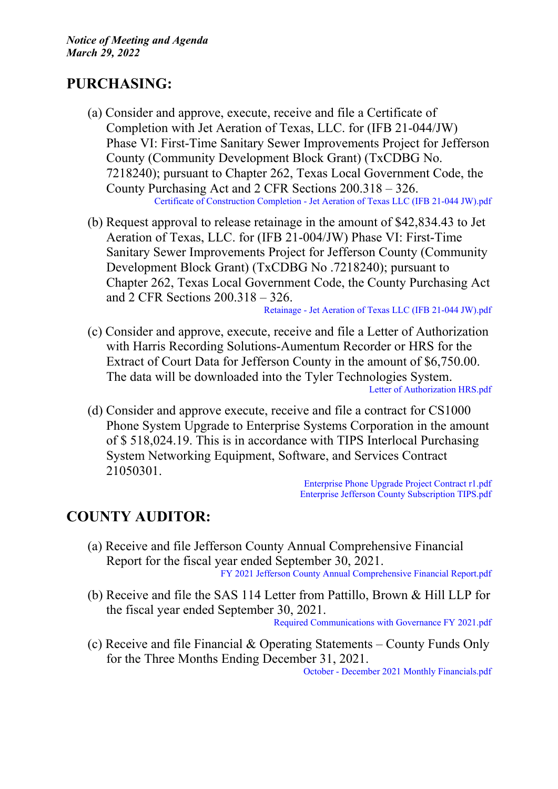### **PURCHASING:**

- (a) Consider and approve, execute, receive and file a Certificate of Completion with Jet Aeration of Texas, LLC. for (IFB 21-044/JW) Phase VI: First-Time Sanitary Sewer Improvements Project for Jefferson County (Community Development Block Grant) (TxCDBG No. 7218240); pursuant to Chapter 262, Texas Local Government Code, the County Purchasing Act and 2 CFR Sections 200.318 – 326. Certificate of [Construction](http://co.jefferson.tx.us/agenda/agendas_pl/20220329_685/Attachments/Certificate%20of%20Construction%20Completion%20-%20Jet%20Aeration%20of%20Texas%20LLC%20%28IFB%2021-044%20JW%29.pdf) Completion - Jet Aeration of Texas LLC (IFB 21-044 JW).pdf
- (b) Request approval to release retainage in the amount of \$42,834.43 to Jet Aeration of Texas, LLC. for (IFB 21-004/JW) Phase VI: First-Time Sanitary Sewer Improvements Project for Jefferson County (Community Development Block Grant) (TxCDBG No .7218240); pursuant to Chapter 262, Texas Local Government Code, the County Purchasing Act and 2 CFR Sections 200.318 – 326.

[Retainage](http://co.jefferson.tx.us/agenda/agendas_pl/20220329_685/Attachments/Retainage%20-%20Jet%20Aeration%20of%20Texas%20LLC%20%28IFB%2021-044%20JW%29.pdf) - Jet Aeration of Texas LLC (IFB 21-044 JW).pdf

- (c) Consider and approve, execute, receive and file a Letter of Authorization with Harris Recording Solutions-Aumentum Recorder or HRS for the Extract of Court Data for Jefferson County in the amount of \$6,750.00. The data will be downloaded into the Tyler Technologies System. Letter of [Authorization](http://co.jefferson.tx.us/agenda/agendas_pl/20220329_685/Attachments/Letter%20of%20Authorization%20HRS.pdf) HRS.pdf
- (d) Consider and approve execute, receive and file a contract for CS1000 Phone System Upgrade to Enterprise Systems Corporation in the amount of \$ 518,024.19. This is in accordance with TIPS Interlocal Purchasing System Networking Equipment, Software, and Services Contract 21050301.

[Enterprise](http://co.jefferson.tx.us/agenda/agendas_pl/20220329_685/Attachments/Enterprise%20Phone%20Upgrade%20Project%20Contract%20r1.pdf) Phone Upgrade Project Contract r1.pdf Enterprise Jefferson County [Subscription](http://co.jefferson.tx.us/agenda/agendas_pl/20220329_685/Attachments/Enterprise%20Jefferson%20County%20Subscription%20TIPS.pdf) TIPS.pdf

## **COUNTY AUDITOR:**

- (a) Receive and file Jefferson County Annual Comprehensive Financial Report for the fiscal year ended September 30, 2021. FY 2021 Jefferson County Annual [Comprehensive](http://co.jefferson.tx.us/agenda/agendas_pl/20220329_685/Attachments/FY%202021%20Jefferson%20County%20Annual%20Comprehensive%20Financial%20Report.pdf) Financial Report.pdf
- (b) Receive and file the SAS 114 Letter from Pattillo, Brown & Hill LLP for the fiscal year ended September 30, 2021.

Required [Communications](http://co.jefferson.tx.us/agenda/agendas_pl/20220329_685/Attachments/Required%20Communications%20with%20Governance%20FY%202021.pdf) with Governance FY 2021.pdf

(c) Receive and file Financial & Operating Statements – County Funds Only for the Three Months Ending December 31, 2021.

October - December 2021 Monthly [Financials.pdf](http://co.jefferson.tx.us/agenda/agendas_pl/20220329_685/Attachments/October%20-%20December%202021%20Monthly%20Financials.pdf)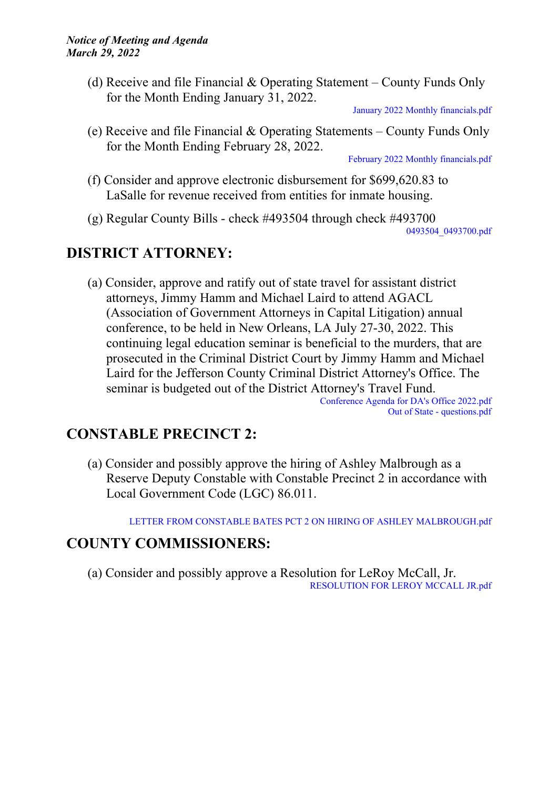(d) Receive and file Financial & Operating Statement – County Funds Only for the Month Ending January 31, 2022.

January 2022 Monthly [financials.pdf](http://co.jefferson.tx.us/agenda/agendas_pl/20220329_685/Attachments/January%202022%20Monthly%20financials.pdf)

(e) Receive and file Financial & Operating Statements – County Funds Only for the Month Ending February 28, 2022.

February 2022 Monthly [financials.pdf](http://co.jefferson.tx.us/agenda/agendas_pl/20220329_685/Attachments/February%202022%20Monthly%20financials.pdf)

- (f) Consider and approve electronic disbursement for \$699,620.83 to LaSalle for revenue received from entities for inmate housing.
- (g) Regular County Bills check #493504 through check #493700

[0493504\\_0493700.pdf](http://co.jefferson.tx.us/agenda/agendas_pl/20220329_685/Attachments/0493504_0493700.pdf)

## **DISTRICT ATTORNEY:**

(a) Consider, approve and ratify out of state travel for assistant district attorneys, Jimmy Hamm and Michael Laird to attend AGACL (Association of Government Attorneys in Capital Litigation) annual conference, to be held in New Orleans, LA July 27-30, 2022. This continuing legal education seminar is beneficial to the murders, that are prosecuted in the Criminal District Court by Jimmy Hamm and Michael Laird for the Jefferson County Criminal District Attorney's Office. The seminar is budgeted out of the District Attorney's Travel Fund. [Conference](http://co.jefferson.tx.us/agenda/agendas_pl/20220329_685/Attachments/Conference%20Agenda%20for%20DA%27s%20Office%202022.pdf) Agenda for DA's Office 2022.pdf

Out of State - [questions.pdf](http://co.jefferson.tx.us/agenda/agendas_pl/20220329_685/Attachments/Out%20of%20State%20-%20questions.pdf)

## **CONSTABLE PRECINCT 2:**

(a) Consider and possibly approve the hiring of Ashley Malbrough as a Reserve Deputy Constable with Constable Precinct 2 in accordance with Local Government Code (LGC) 86.011.

LETTER FROM CONSTABLE BATES PCT 2 ON HIRING OF ASHLEY [MALBROUGH.pdf](http://co.jefferson.tx.us/agenda/agendas_pl/20220329_685/Attachments/LETTER%20FROM%20CONSTABLE%20BATES%20%20PCT%202%20ON%20HIRING%20OF%20ASHLEY%20MALBROUGH.pdf)

#### **COUNTY COMMISSIONERS:**

(a) Consider and possibly approve a Resolution for LeRoy McCall, Jr. [RESOLUTION](http://co.jefferson.tx.us/agenda/agendas_pl/20220329_685/Attachments/RESOLUTION%20FOR%20LEROY%20MCCALL%20JR.pdf) FOR LEROY MCCALL JR.pdf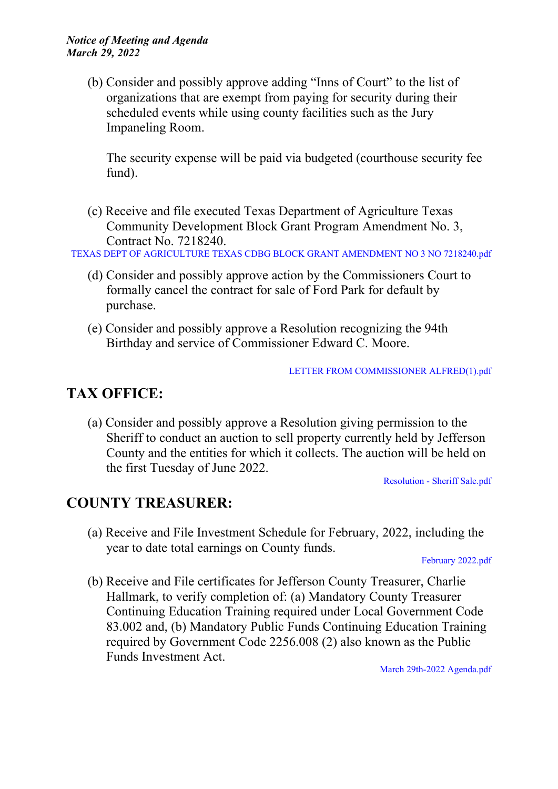(b) Consider and possibly approve adding "Inns of Court" to the list of organizations that are exempt from paying for security during their scheduled events while using county facilities such as the Jury Impaneling Room.

The security expense will be paid via budgeted (courthouse security fee fund).

(c) Receive and file executed Texas Department of Agriculture Texas Community Development Block Grant Program Amendment No. 3, Contract No. 7218240.

TEXAS DEPT OF [AGRICULTURE](http://co.jefferson.tx.us/agenda/agendas_pl/20220329_685/Attachments/TEXAS%20DEPT%20OF%20AGRICULTURE%20TEXAS%20CDBG%20BLOCK%20GRANT%20AMENDMENT%20NO%203%20NO%207218240.pdf) TEXAS CDBG BLOCK GRANT AMENDMENT NO 3 NO 7218240.pdf

- (d) Consider and possibly approve action by the Commissioners Court to formally cancel the contract for sale of Ford Park for default by purchase.
- (e) Consider and possibly approve a Resolution recognizing the 94th Birthday and service of Commissioner Edward C. Moore.

LETTER FROM [COMMISSIONER](http://co.jefferson.tx.us/agenda/agendas_pl/20220329_685/Attachments/LETTER%20FROM%20COMMISSIONER%20ALFRED%281%29.pdf) ALFRED(1).pdf

## **TAX OFFICE:**

(a) Consider and possibly approve a Resolution giving permission to the Sheriff to conduct an auction to sell property currently held by Jefferson County and the entities for which it collects. The auction will be held on the first Tuesday of June 2022.

[Resolution](http://co.jefferson.tx.us/agenda/agendas_pl/20220329_685/Attachments/Resolution%20-%20Sheriff%20Sale.pdf) - Sheriff Sale.pdf

## **COUNTY TREASURER:**

(a) Receive and File Investment Schedule for February, 2022, including the year to date total earnings on County funds.

[February](http://co.jefferson.tx.us/agenda/agendas_pl/20220329_685/Attachments/February%202022.pdf) 2022.pdf

(b) Receive and File certificates for Jefferson County Treasurer, Charlie Hallmark, to verify completion of: (a) Mandatory County Treasurer Continuing Education Training required under Local Government Code 83.002 and, (b) Mandatory Public Funds Continuing Education Training required by Government Code 2256.008 (2) also known as the Public Funds Investment Act.

March 29th-2022 [Agenda.pdf](http://co.jefferson.tx.us/agenda/agendas_pl/20220329_685/Attachments/March%2029th-2022%20Agenda.pdf)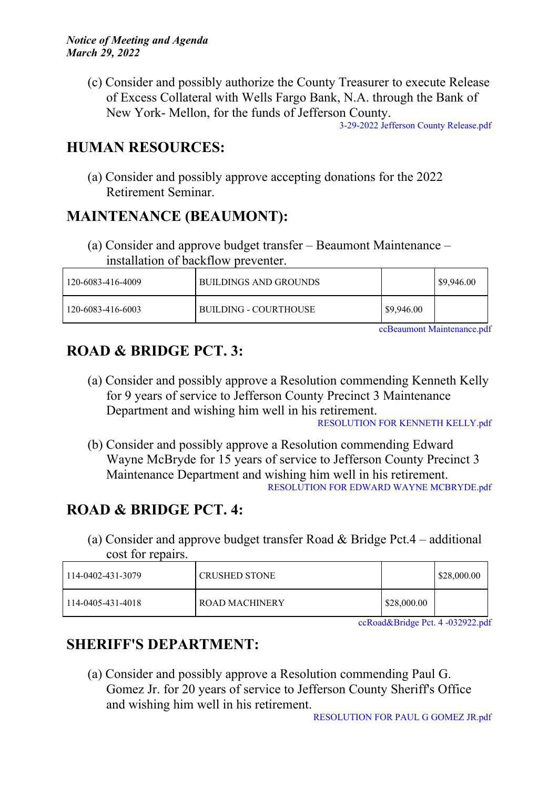(c) Consider and possibly authorize the County Treasurer to execute Release of Excess Collateral with Wells Fargo Bank, N.A. through the Bank of New York- Mellon, for the funds of Jefferson County.

3-29-2022 Jefferson County [Release.pdf](http://co.jefferson.tx.us/agenda/agendas_pl/20220329_685/Attachments/3-29-2022%20Jefferson%20County%20Release.pdf)

## **HUMAN RESOURCES:**

(a) Consider and possibly approve accepting donations for the 2022 Retirement Seminar.

## **MAINTENANCE (BEAUMONT):**

(a) Consider and approve budget transfer – Beaumont Maintenance – installation of backflow preventer.

| 120-6083-416-4009 | BUILDINGS AND GROUNDS |            | \$9,946.00 |
|-------------------|-----------------------|------------|------------|
| 120-6083-416-6003 | BUILDING - COURTHOUSE | \$9,946.00 |            |

ccBeaumont [Maintenance.pdf](http://co.jefferson.tx.us/agenda/agendas_pl/20220329_685/Attachments/ccBeaumont%20Maintenance.pdf)

# **ROAD & BRIDGE PCT. 3:**

(a) Consider and possibly approve a Resolution commending Kenneth Kelly for 9 years of service to Jefferson County Precinct 3 Maintenance Department and wishing him well in his retirement.

[RESOLUTION](http://co.jefferson.tx.us/agenda/agendas_pl/20220329_685/Attachments/RESOLUTION%20FOR%20KENNETH%20KELLY.pdf) FOR KENNETH KELLY.pdf

(b) Consider and possibly approve a Resolution commending Edward Wayne McBryde for 15 years of service to Jefferson County Precinct 3 Maintenance Department and wishing him well in his retirement. RESOLUTION FOR EDWARD WAYNE [MCBRYDE.pdf](http://co.jefferson.tx.us/agenda/agendas_pl/20220329_685/Attachments/RESOLUTION%20FOR%20EDWARD%20WAYNE%20MCBRYDE.pdf)

# **ROAD & BRIDGE PCT. 4:**

(a) Consider and approve budget transfer Road & Bridge Pct.4 – additional cost for repairs.

| 114-0402-431-3079 | CRUSHED STONE  |             | $\frac{$28,000.00}{ }$ |
|-------------------|----------------|-------------|------------------------|
| 114-0405-431-4018 | ROAD MACHINERY | \$28,000.00 |                        |

[ccRoad&Bridge](http://co.jefferson.tx.us/agenda/agendas_pl/20220329_685/Attachments/ccRoad%26Bridge%20Pct.%204%20-032922.pdf) Pct. 4 -032922.pdf

# **SHERIFF'S DEPARTMENT:**

(a) Consider and possibly approve a Resolution commending Paul G. Gomez Jr. for 20 years of service to Jefferson County Sheriff's Office and wishing him well in his retirement.